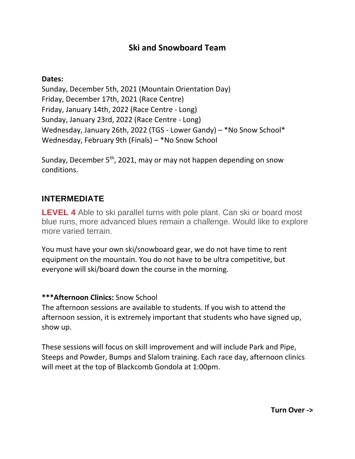# **Ski and Snowboard Team**

#### **Dates:**

Sunday, December 5th, 2021 (Mountain Orientation Day) Friday, December 17th, 2021 (Race Centre) Friday, January 14th, 2022 (Race Centre - Long) Sunday, January 23rd, 2022 (Race Centre - Long) Wednesday, January 26th, 2022 (TGS - Lower Gandy) – \*No Snow School\* Wednesday, February 9th (Finals) – \*No Snow School

Sunday, December  $5<sup>th</sup>$ , 2021, may or may not happen depending on snow conditions.

### **INTERMEDIATE**

**LEVEL 4** Able to ski parallel turns with pole plant. Can ski or board most blue runs, more advanced blues remain a challenge. Would like to explore more varied terrain.

You must have your own ski/snowboard gear, we do not have time to rent equipment on the mountain. You do not have to be ultra competitive, but everyone will ski/board down the course in the morning.

### **\*\*\*Afternoon Clinics:** Snow School

The afternoon sessions are available to students. If you wish to attend the afternoon session, it is extremely important that students who have signed up, show up.

These sessions will focus on skill improvement and will include Park and Pipe, Steeps and Powder, Bumps and Slalom training. Each race day, afternoon clinics will meet at the top of Blackcomb Gondola at 1:00pm.